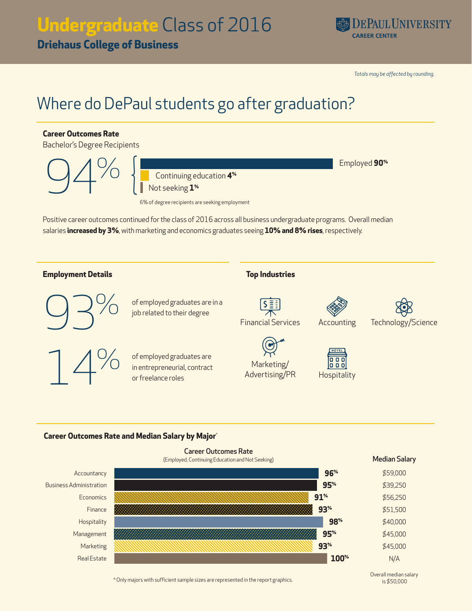# **Undergraduate** Class of 2016

**Driehaus College of Business**



*Totals may be affected by rounding.*

## Where do DePaul students go after graduation?

### **Career Outcomes Rate** Bachelor's Degree Recipients extending provided and the set of the set of the set of the set of the set of the set of the set of the set of the set of the set of the set of the set of the set of the set of the set of the set of the set of the set of t 94% Continuing education **4%** Not seeking **1%** 6% of degree recipients are seeking employmentPositive career outcomes continued for the class of 2016 across all business undergraduate programs. Overall median salaries **increased by 3%**, with marketing and economics graduates seeing **10% and 8% rises**, respectively. **Employment Details Top Industries** of employed graduates are<br>job related to their degree of employed graduates are in a Financial Services Accounting Technology/Science of employed graduates are<br>in entrepreneurial, contract<br>or freelance roles of employed graduates are  $\begin{array}{c} 0 & 0 & 0 \\ 0 & 0 & 0 \end{array}$ Marketing/ Advertising/PR Hospitality or freelance roles

### **Career Outcomes Rate and Median Salary by Major**\*



\* Only majors with sufficient sample sizes are represented in the report graphics.

Overall median salary is \$50,000